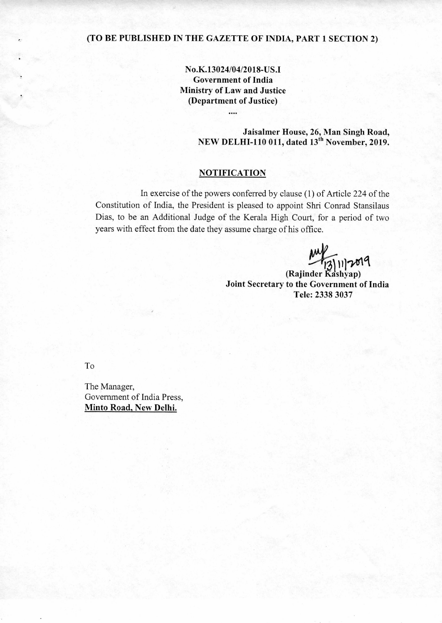## **(TO BE PUBLISHED IN THE GAZETTE OF INDIA, PART 1 SECTION 2)**

**No.K.13024/04/2018-US.I Government of India Ministry of Law and Justice (Department of Justice)** 

....

**Jaisalmer House, 26, Man Singh Road,**  NEW DELHI-110 011, dated 13<sup>th</sup> November, 2019.

#### **NOTIFICATION**

In exercise of the powers conferred by clause (1) of Article 224 of the Constitution of India, the President is pleased to appoint Shri Conrad Stansilaus Dias, to be an Additional Judge of the Kerala High Court, for a period of two years with effect from the date they assume charge of his office.

**1117019** 

**(Rajinder Kashyap) Joint Secretary to the Government of India Tele: 2338 3037** 

To

The Manager, Government of India Press, **Minto Road, New Delhi.**